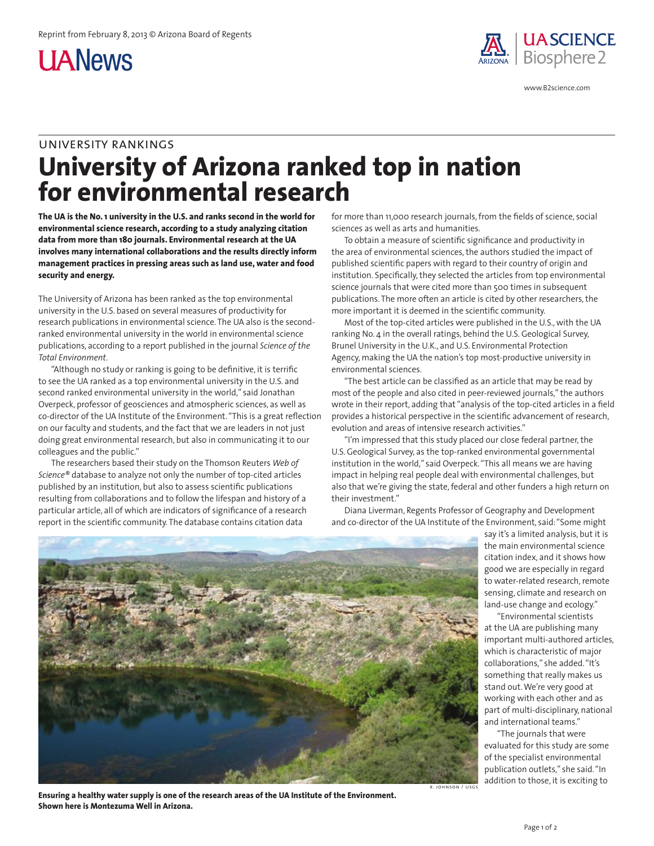**UANews** 



www.B2science.com

## university rankings **University of Arizona ranked top in nation for environmental research**

**The UA is the No. 1 university in the U.S. and ranks second in the world for environmental science research, according to a study analyzing citation data from more than 180 journals. Environmental research at the UA involves many international collaborations and the results directly inform management practices in pressing areas such as land use, water and food security and energy.** 

The University of Arizona has been ranked as the top environmental university in the U.S. based on several measures of productivity for research publications in environmental science. The UA also is the secondranked environmental university in the world in environmental science publications, according to a report published in the journal *Science of the Total Environment*.

"Although no study or ranking is going to be definitive, it is terrific to see the UA ranked as a top environmental university in the U.S. and second ranked environmental university in the world," said Jonathan Overpeck, professor of geosciences and atmospheric sciences, as well as co-director of the UA Institute of the Environment. "This is a great reflection on our faculty and students, and the fact that we are leaders in not just doing great environmental research, but also in communicating it to our colleagues and the public."

The researchers based their study on the Thomson Reuters *Web of Science®* database to analyze not only the number of top-cited articles published by an institution, but also to assess scientific publications resulting from collaborations and to follow the lifespan and history of a particular article, all of which are indicators of significance of a research report in the scientific community. The database contains citation data

for more than 11,000 research journals, from the fields of science, social sciences as well as arts and humanities.

To obtain a measure of scientific significance and productivity in the area of environmental sciences, the authors studied the impact of published scientific papers with regard to their country of origin and institution. Specifically, they selected the articles from top environmental science journals that were cited more than 500 times in subsequent publications. The more often an article is cited by other researchers, the more important it is deemed in the scientific community.

Most of the top-cited articles were published in the U.S., with the UA ranking No. 4 in the overall ratings, behind the U.S. Geological Survey, Brunel University in the U.K., and U.S. Environmental Protection Agency, making the UA the nation's top most-productive university in environmental sciences.

"The best article can be classified as an article that may be read by most of the people and also cited in peer-reviewed journals," the authors wrote in their report, adding that "analysis of the top-cited articles in a field provides a historical perspective in the scientific advancement of research, evolution and areas of intensive research activities."

"I'm impressed that this study placed our close federal partner, the U.S. Geological Survey, as the top-ranked environmental governmental institution in the world," said Overpeck. "This all means we are having impact in helping real people deal with environmental challenges, but also that we're giving the state, federal and other funders a high return on their investment."

Diana Liverman, Regents Professor of Geography and Development and co-director of the UA Institute of the Environment, said: "Some might



**Ensuring a healthy water supply is one of the research areas of the UA Institute of the Environment. Shown here is Montezuma Well in Arizona.**

say it's a limited analysis, but it is the main environmental science citation index, and it shows how good we are especially in regard to water-related research, remote sensing, climate and research on land-use change and ecology."

"Environmental scientists at the UA are publishing many important multi-authored articles, which is characteristic of major collaborations," she added. "It's something that really makes us stand out. We're very good at working with each other and as part of multi-disciplinary, national and international teams."

"The journals that were evaluated for this study are some of the specialist environmental publication outlets," she said. "In addition to those, it is exciting to